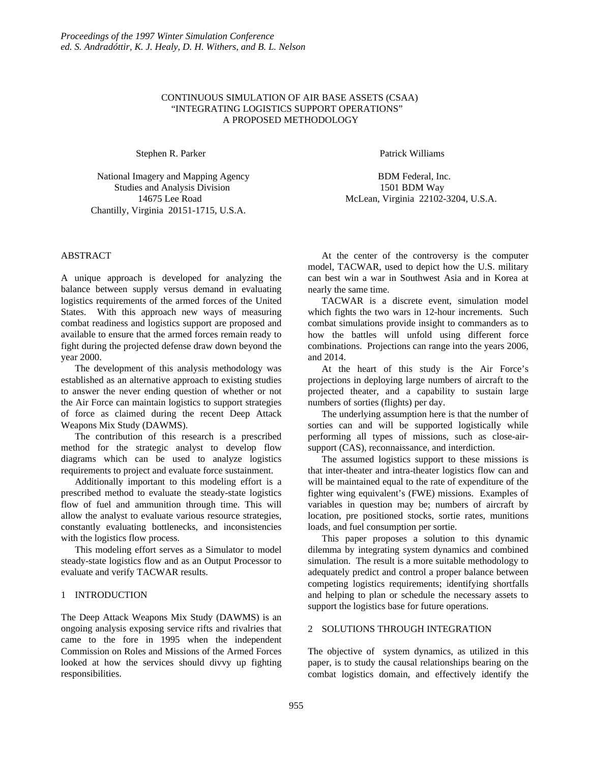# CONTINUOUS SIMULATION OF AIR BASE ASSETS (CSAA) "INTEGRATING LOGISTICS SUPPORT OPERATIONS" A PROPOSED METHODOLOGY

 National Imagery and Mapping Agency BDM Federal, Inc. Studies and Analysis Division 1501 BDM Way Chantilly, Virginia 20151-1715, U.S.A.

ABSTRACT

A unique approach is developed for analyzing the balance between supply versus demand in evaluating logistics requirements of the armed forces of the United States. With this approach new ways of measuring combat readiness and logistics support are proposed and available to ensure that the armed forces remain ready to fight during the projected defense draw down beyond the year 2000.

The development of this analysis methodology was established as an alternative approach to existing studies to answer the never ending question of whether or not the Air Force can maintain logistics to support strategies of force as claimed during the recent Deep Attack Weapons Mix Study (DAWMS).

The contribution of this research is a prescribed method for the strategic analyst to develop flow diagrams which can be used to analyze logistics requirements to project and evaluate force sustainment.

Additionally important to this modeling effort is a prescribed method to evaluate the steady-state logistics flow of fuel and ammunition through time. This will allow the analyst to evaluate various resource strategies, constantly evaluating bottlenecks, and inconsistencies with the logistics flow process.

This modeling effort serves as a Simulator to model steady-state logistics flow and as an Output Processor to evaluate and verify TACWAR results.

## 1 INTRODUCTION

The Deep Attack Weapons Mix Study (DAWMS) is an ongoing analysis exposing service rifts and rivalries that came to the fore in 1995 when the independent Commission on Roles and Missions of the Armed Forces looked at how the services should divvy up fighting responsibilities.

Stephen R. Parker Patrick Williams

14675 Lee Road McLean, Virginia 22102-3204, U.S.A.

At the center of the controversy is the computer model, TACWAR, used to depict how the U.S. military can best win a war in Southwest Asia and in Korea at nearly the same time.

TACWAR is a discrete event, simulation model which fights the two wars in 12-hour increments. Such combat simulations provide insight to commanders as to how the battles will unfold using different force combinations. Projections can range into the years 2006, and 2014.

At the heart of this study is the Air Force's projections in deploying large numbers of aircraft to the projected theater, and a capability to sustain large numbers of sorties (flights) per day.

The underlying assumption here is that the number of sorties can and will be supported logistically while performing all types of missions, such as close-airsupport (CAS), reconnaissance, and interdiction.

The assumed logistics support to these missions is that inter-theater and intra-theater logistics flow can and will be maintained equal to the rate of expenditure of the fighter wing equivalent's (FWE) missions. Examples of variables in question may be; numbers of aircraft by location, pre positioned stocks, sortie rates, munitions loads, and fuel consumption per sortie.

This paper proposes a solution to this dynamic dilemma by integrating system dynamics and combined simulation. The result is a more suitable methodology to adequately predict and control a proper balance between competing logistics requirements; identifying shortfalls and helping to plan or schedule the necessary assets to support the logistics base for future operations.

# 2 SOLUTIONS THROUGH INTEGRATION

The objective of system dynamics, as utilized in this paper, is to study the causal relationships bearing on the combat logistics domain, and effectively identify the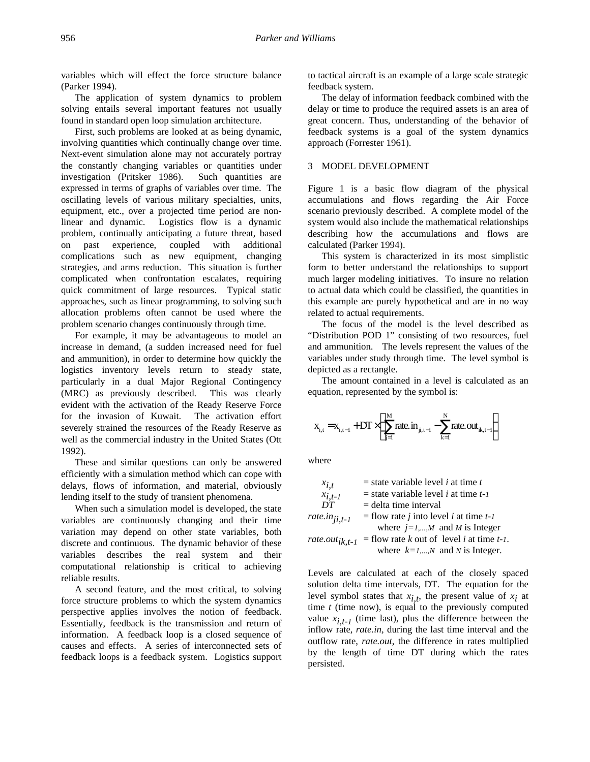variables which will effect the force structure balance (Parker 1994).

The application of system dynamics to problem solving entails several important features not usually found in standard open loop simulation architecture.

First, such problems are looked at as being dynamic, involving quantities which continually change over time. Next-event simulation alone may not accurately portray the constantly changing variables or quantities under investigation (Pritsker 1986). Such quantities are expressed in terms of graphs of variables over time. The oscillating levels of various military specialties, units, equipment, etc., over a projected time period are nonlinear and dynamic. Logistics flow is a dynamic problem, continually anticipating a future threat, based on past experience, coupled with additional complications such as new equipment, changing strategies, and arms reduction. This situation is further complicated when confrontation escalates, requiring quick commitment of large resources. Typical static approaches, such as linear programming, to solving such allocation problems often cannot be used where the problem scenario changes continuously through time.

For example, it may be advantageous to model an increase in demand, (a sudden increased need for fuel and ammunition), in order to determine how quickly the logistics inventory levels return to steady state, particularly in a dual Major Regional Contingency (MRC) as previously described. This was clearly evident with the activation of the Ready Reserve Force for the invasion of Kuwait. The activation effort severely strained the resources of the Ready Reserve as well as the commercial industry in the United States (Ott 1992).

These and similar questions can only be answered efficiently with a simulation method which can cope with delays, flows of information, and material, obviously lending itself to the study of transient phenomena.

When such a simulation model is developed, the state variables are continuously changing and their time variation may depend on other state variables, both discrete and continuous. The dynamic behavior of these variables describes the real system and their computational relationship is critical to achieving reliable results.

A second feature, and the most critical, to solving force structure problems to which the system dynamics perspective applies involves the notion of feedback. Essentially, feedback is the transmission and return of information. A feedback loop is a closed sequence of causes and effects. A series of interconnected sets of feedback loops is a feedback system. Logistics support

to tactical aircraft is an example of a large scale strategic feedback system.

The delay of information feedback combined with the delay or time to produce the required assets is an area of great concern. Thus, understanding of the behavior of feedback systems is a goal of the system dynamics approach (Forrester 1961).

### 3 MODEL DEVELOPMENT

Figure 1 is a basic flow diagram of the physical accumulations and flows regarding the Air Force scenario previously described. A complete model of the system would also include the mathematical relationships describing how the accumulations and flows are calculated (Parker 1994).

This system is characterized in its most simplistic form to better understand the relationships to support much larger modeling initiatives. To insure no relation to actual data which could be classified, the quantities in this example are purely hypothetical and are in no way related to actual requirements.

The focus of the model is the level described as "Distribution POD 1" consisting of two resources, fuel and ammunition. The levels represent the values of the variables under study through time. The level symbol is depicted as a rectangle.

The amount contained in a level is calculated as an equation, represented by the symbol is:

$$
x_{i,t} = x_{i,t-1} + DT \times \left( \sum_{j=1}^{M} \text{rate} . \text{in}_{ji,t-1} - \sum_{k=1}^{N} \text{rate} . \text{out}_{ik,t-1} \right)
$$

where

| $x_{i,t}$           | = state variable level <i>i</i> at time <i>t</i>                |
|---------------------|-----------------------------------------------------------------|
| $x_{i,t-1}$         | = state variable level <i>i</i> at time <i>t-1</i>              |
| $DT$                | = delta time interval                                           |
| $rate.in_{ji,t-1}$  | = flow rate <i>j</i> into level <i>i</i> at time <i>t-1</i>     |
| $rate.out_{ik,t-1}$ | = flow rate <i>k</i> out of level <i>i</i> at time <i>t-1</i> . |
| $rate.out_{ik,t-1}$ | = flow rate <i>k</i> out of level <i>i</i> at time <i>t-1</i> . |
| $k = 1,...,N$       | and <i>N</i> is Integer.                                        |

Levels are calculated at each of the closely spaced solution delta time intervals, DT. The equation for the level symbol states that  $x_{i,t}$ , the present value of  $x_i$  at time *t* (time now), is equal to the previously computed value  $x_{i,t-1}$  (time last), plus the difference between the inflow rate, *rate.in,* during the last time interval and the outflow rate, *rate.out*, the difference in rates multiplied by the length of time DT during which the rates persisted.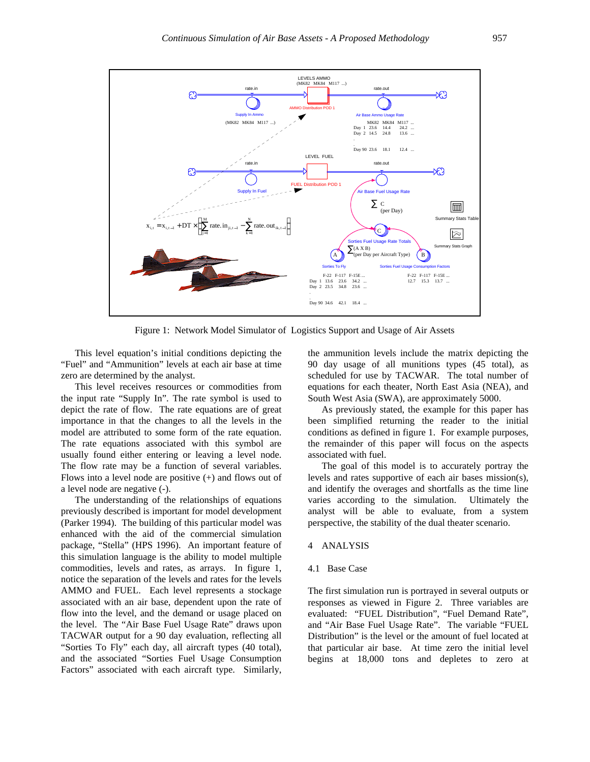

Figure 1: Network Model Simulator of Logistics Support and Usage of Air Assets

This level equation's initial conditions depicting the "Fuel" and "Ammunition" levels at each air base at time zero are determined by the analyst.

This level receives resources or commodities from the input rate "Supply In". The rate symbol is used to depict the rate of flow. The rate equations are of great importance in that the changes to all the levels in the model are attributed to some form of the rate equation. The rate equations associated with this symbol are usually found either entering or leaving a level node. The flow rate may be a function of several variables. Flows into a level node are positive (+) and flows out of a level node are negative (-).

The understanding of the relationships of equations previously described is important for model development (Parker 1994). The building of this particular model was enhanced with the aid of the commercial simulation package, "Stella" (HPS 1996). An important feature of this simulation language is the ability to model multiple commodities, levels and rates, as arrays. In figure 1, notice the separation of the levels and rates for the levels AMMO and FUEL. Each level represents a stockage associated with an air base, dependent upon the rate of flow into the level, and the demand or usage placed on the level. The "Air Base Fuel Usage Rate" draws upon TACWAR output for a 90 day evaluation, reflecting all "Sorties To Fly" each day, all aircraft types (40 total), and the associated "Sorties Fuel Usage Consumption Factors" associated with each aircraft type. Similarly,

the ammunition levels include the matrix depicting the 90 day usage of all munitions types (45 total), as scheduled for use by TACWAR. The total number of equations for each theater, North East Asia (NEA), and South West Asia (SWA), are approximately 5000.

As previously stated, the example for this paper has been simplified returning the reader to the initial conditions as defined in figure 1. For example purposes, the remainder of this paper will focus on the aspects associated with fuel.

The goal of this model is to accurately portray the levels and rates supportive of each air bases mission(s), and identify the overages and shortfalls as the time line varies according to the simulation. Ultimately the analyst will be able to evaluate, from a system perspective, the stability of the dual theater scenario.

4 ANALYSIS

#### 4.1 Base Case

The first simulation run is portrayed in several outputs or responses as viewed in Figure 2. Three variables are evaluated: "FUEL Distribution", "Fuel Demand Rate", and "Air Base Fuel Usage Rate". The variable "FUEL Distribution" is the level or the amount of fuel located at that particular air base. At time zero the initial level begins at 18,000 tons and depletes to zero at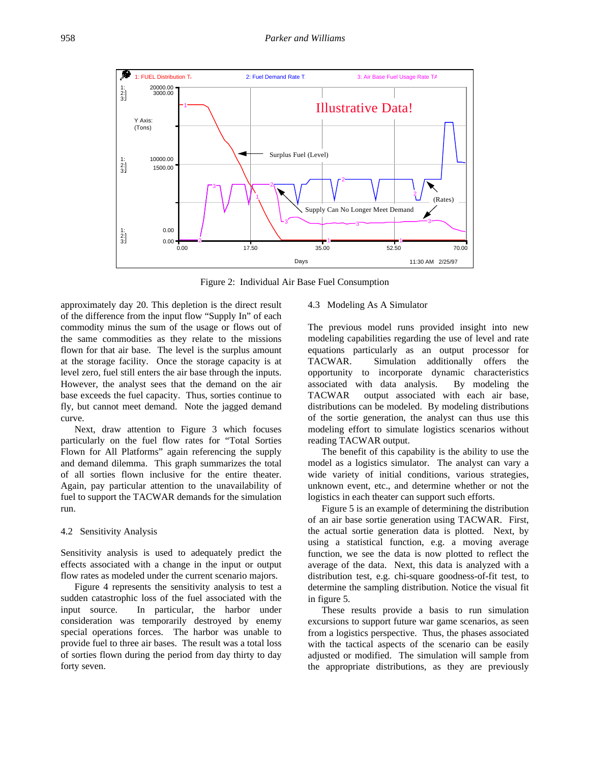

Figure 2: Individual Air Base Fuel Consumption

approximately day 20. This depletion is the direct result of the difference from the input flow "Supply In" of each commodity minus the sum of the usage or flows out of the same commodities as they relate to the missions flown for that air base. The level is the surplus amount at the storage facility. Once the storage capacity is at level zero, fuel still enters the air base through the inputs. However, the analyst sees that the demand on the air base exceeds the fuel capacity. Thus, sorties continue to fly, but cannot meet demand. Note the jagged demand curve.

Next, draw attention to Figure 3 which focuses particularly on the fuel flow rates for "Total Sorties Flown for All Platforms" again referencing the supply and demand dilemma. This graph summarizes the total of all sorties flown inclusive for the entire theater. Again, pay particular attention to the unavailability of fuel to support the TACWAR demands for the simulation run.

## 4.2 Sensitivity Analysis

Sensitivity analysis is used to adequately predict the effects associated with a change in the input or output flow rates as modeled under the current scenario majors.

Figure 4 represents the sensitivity analysis to test a sudden catastrophic loss of the fuel associated with the input source. In particular, the harbor under consideration was temporarily destroyed by enemy special operations forces. The harbor was unable to provide fuel to three air bases. The result was a total loss of sorties flown during the period from day thirty to day forty seven.

#### 4.3 Modeling As A Simulator

The previous model runs provided insight into new modeling capabilities regarding the use of level and rate equations particularly as an output processor for TACWAR. Simulation additionally offers the opportunity to incorporate dynamic characteristics associated with data analysis. By modeling the TACWAR output associated with each air base, distributions can be modeled. By modeling distributions of the sortie generation, the analyst can thus use this modeling effort to simulate logistics scenarios without reading TACWAR output.

The benefit of this capability is the ability to use the model as a logistics simulator. The analyst can vary a wide variety of initial conditions, various strategies, unknown event, etc., and determine whether or not the logistics in each theater can support such efforts.

Figure 5 is an example of determining the distribution of an air base sortie generation using TACWAR. First, the actual sortie generation data is plotted. Next, by using a statistical function, e.g. a moving average function, we see the data is now plotted to reflect the average of the data. Next, this data is analyzed with a distribution test, e.g. chi-square goodness-of-fit test, to determine the sampling distribution. Notice the visual fit in figure 5.

These results provide a basis to run simulation excursions to support future war game scenarios, as seen from a logistics perspective. Thus, the phases associated with the tactical aspects of the scenario can be easily adjusted or modified. The simulation will sample from the appropriate distributions, as they are previously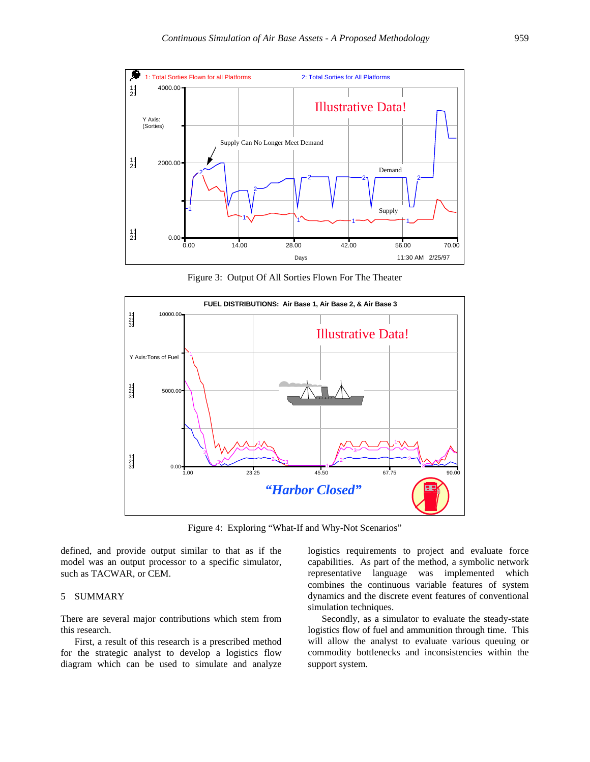

Figure 3: Output Of All Sorties Flown For The Theater



Figure 4: Exploring "What-If and Why-Not Scenarios"

defined, and provide output similar to that as if the model was an output processor to a specific simulator, such as TACWAR, or CEM.

## 5 SUMMARY

There are several major contributions which stem from this research.

First, a result of this research is a prescribed method for the strategic analyst to develop a logistics flow diagram which can be used to simulate and analyze

logistics requirements to project and evaluate force capabilities. As part of the method, a symbolic network representative language was implemented which combines the continuous variable features of system dynamics and the discrete event features of conventional simulation techniques.

Secondly, as a simulator to evaluate the steady-state logistics flow of fuel and ammunition through time. This will allow the analyst to evaluate various queuing or commodity bottlenecks and inconsistencies within the support system.